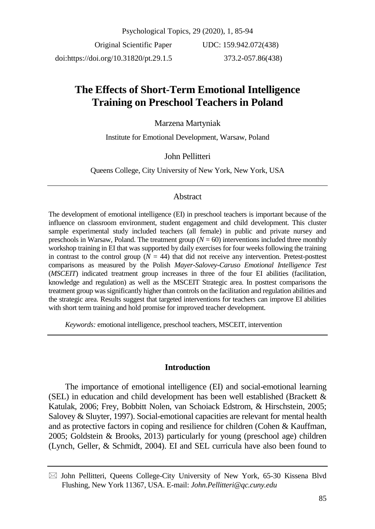Psychological Topics, 29 (2020), 1, 85-94 Original Scientific Paper UDC: 159.942.072(438)

doi:https://doi.org/10.31820/pt.29.1.5

373.2-057.86(438)

# **The Effects of Short-Term Emotional Intelligence Training on Preschool Teachers in Poland**

# Marzena Martyniak

Institute for Emotional Development, Warsaw, Poland

# John Pellitteri

Queens College, City University of New York, New York, USA

## **Abstract**

The development of emotional intelligence (EI) in preschool teachers is important because of the influence on classroom environment, student engagement and child development. This cluster sample experimental study included teachers (all female) in public and private nursey and preschools in Warsaw, Poland. The treatment group  $(N = 60)$  interventions included three monthly workshop training in EI that was supported by daily exercises for four weeks following the training in contrast to the control group  $(N = 44)$  that did not receive any intervention. Pretest-posttest comparisons as measured by the Polish *Mayer-Salovey-Caruso Emotional Intelligence Test* (*MSCEIT*) indicated treatment group increases in three of the four EI abilities (facilitation, knowledge and regulation) as well as the MSCEIT Strategic area. In posttest comparisons the treatment group was significantly higher than controls on the facilitation and regulation abilities and the strategic area. Results suggest that targeted interventions for teachers can improve EI abilities with short term training and hold promise for improved teacher development.

*Keywords:* emotional intelligence, preschool teachers, MSCEIT, intervention

## **Introduction**

The importance of emotional intelligence (EI) and social-emotional learning (SEL) in education and child development has been well established (Brackett & Katulak, 2006; Frey, Bobbitt Nolen, van Schoiack Edstrom, & Hirschstein, 2005; Salovey & Sluyter, 1997). Social-emotional capacities are relevant for mental health and as protective factors in coping and resilience for children (Cohen & Kauffman, 2005; Goldstein & Brooks, 2013) particularly for young (preschool age) children (Lynch, Geller, & Schmidt, 2004). EI and SEL curricula have also been found to

 $\boxtimes$  John Pellitteri, Queens College-City University of New York, 65-30 Kissena Blvd Flushing, New York 11367, USA. E-mail: *John.Pellitteri@qc.cuny.edu*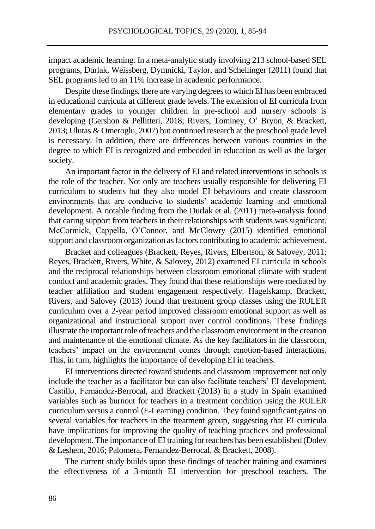impact academic learning. In a meta-analytic study involving 213 school-based SEL programs, Durlak, Weissberg, Dymnicki, Taylor, and Schellinger (2011) found that SEL programs led to an 11% increase in academic performance.

Despite these findings, there are varying degrees to which EI has been embraced in educational curricula at different grade levels. The extension of EI curricula from elementary grades to younger children in pre-school and nursery schools is developing (Gershon & Pellitteri, 2018; Rivers, Tominey, O' Bryon, & Brackett, 2013; Ulutas & Omeroglu, 2007) but continued research at the preschool grade level is necessary. In addition, there are differences between various countries in the degree to which EI is recognized and embedded in education as well as the larger society.

An important factor in the delivery of EI and related interventions in schools is the role of the teacher. Not only are teachers usually responsible for delivering EI curriculum to students but they also model EI behaviours and create classroom environments that are conducive to students' academic learning and emotional development. A notable finding from the Durlak et al. (2011) meta-analysis found that caring support from teachers in their relationships with students was significant. McCormick, Cappella, O'Connor, and McClowry (2015) identified emotional support and classroom organization as factors contributing to academic achievement.

Bracket and colleagues (Brackett, Reyes, Rivers, Elbertson, & Salovey, 2011; Reyes, Brackett, Rivers, White, & Salovey, 2012) examined EI curricula in schools and the reciprocal relationships between classroom emotional climate with student conduct and academic grades. They found that these relationships were mediated by teacher affiliation and student engagement respectively. Hagelskamp, Brackett, Rivers, and Salovey (2013) found that treatment group classes using the RULER curriculum over a 2-year period improved classroom emotional support as well as organizational and instructional support over control conditions. These findings illustrate the important role of teachers and the classroom environment in the creation and maintenance of the emotional climate. As the key facilitators in the classroom, teachers' impact on the environment comes through emotion-based interactions. This, in turn, highlights the importance of developing EI in teachers.

EI interventions directed toward students and classroom improvement not only include the teacher as a facilitator but can also facilitate teachers' EI development. Castillo, Fernández-Berrocal, and Brackett (2013) in a study in Spain examined variables such as burnout for teachers in a treatment condition using the RULER curriculum versus a control (E-Learning) condition. They found significant gains on several variables for teachers in the treatment group, suggesting that EI curricula have implications for improving the quality of teaching practices and professional development. The importance of EI training for teachers has been established (Dolev & Leshem, 2016; Palomera, Fernandez-Berrocal, & Brackett, 2008).

The current study builds upon these findings of teacher training and examines the effectiveness of a 3-month EI intervention for preschool teachers. The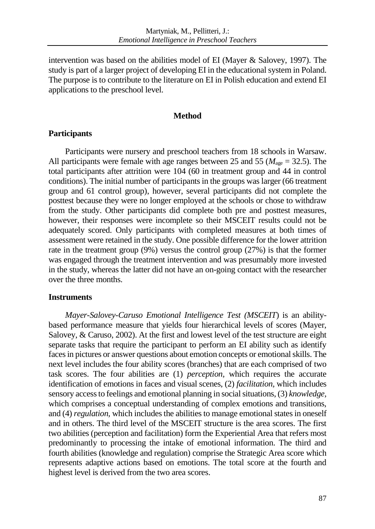intervention was based on the abilities model of EI (Mayer & Salovey, 1997). The study is part of a larger project of developing EI in the educational system in Poland. The purpose is to contribute to the literature on EI in Polish education and extend EI applications to the preschool level.

## **Method**

# **Participants**

Participants were nursery and preschool teachers from 18 schools in Warsaw. All participants were female with age ranges between 25 and 55 ( $M<sub>age</sub> = 32.5$ ). The total participants after attrition were 104 (60 in treatment group and 44 in control conditions). The initial number of participants in the groups was larger (66 treatment group and 61 control group), however, several participants did not complete the posttest because they were no longer employed at the schools or chose to withdraw from the study. Other participants did complete both pre and posttest measures, however, their responses were incomplete so their MSCEIT results could not be adequately scored. Only participants with completed measures at both times of assessment were retained in the study. One possible difference for the lower attrition rate in the treatment group (9%) versus the control group (27%) is that the former was engaged through the treatment intervention and was presumably more invested in the study, whereas the latter did not have an on-going contact with the researcher over the three months.

# **Instruments**

*Mayer-Salovey-Caruso Emotional Intelligence Test (MSCEIT*) is an abilitybased performance measure that yields four hierarchical levels of scores (Mayer, Salovey, & Caruso, 2002). At the first and lowest level of the test structure are eight separate tasks that require the participant to perform an EI ability such as identify faces in pictures or answer questions about emotion concepts or emotional skills. The next level includes the four ability scores (branches) that are each comprised of two task scores. The four abilities are (1) *perception,* which requires the accurate identification of emotions in faces and visual scenes, (2) *facilitation,* which includes sensory access to feelings and emotional planning in social situations, (3) *knowledge,* which comprises a conceptual understanding of complex emotions and transitions, and (4) *regulation,* which includes the abilities to manage emotional states in oneself and in others. The third level of the MSCEIT structure is the area scores. The first two abilities (perception and facilitation) form the Experiential Area that refers most predominantly to processing the intake of emotional information. The third and fourth abilities (knowledge and regulation) comprise the Strategic Area score which represents adaptive actions based on emotions. The total score at the fourth and highest level is derived from the two area scores.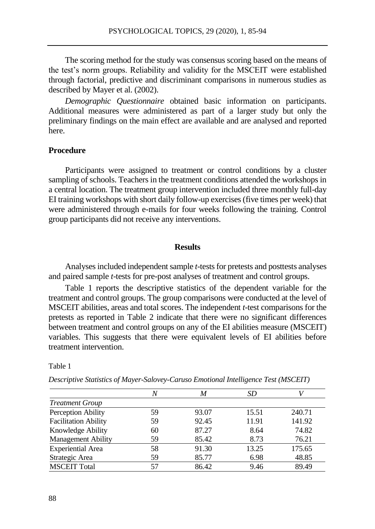The scoring method for the study was consensus scoring based on the means of the test's norm groups. Reliability and validity for the MSCEIT were established through factorial, predictive and discriminant comparisons in numerous studies as described by Mayer et al. (2002).

*Demographic Questionnaire* obtained basic information on participants. Additional measures were administered as part of a larger study but only the preliminary findings on the main effect are available and are analysed and reported here.

## **Procedure**

Participants were assigned to treatment or control conditions by a cluster sampling of schools. Teachers in the treatment conditions attended the workshops in a central location. The treatment group intervention included three monthly full-day EI training workshops with short daily follow-up exercises (five times per week) that were administered through e-mails for four weeks following the training. Control group participants did not receive any interventions.

### **Results**

Analyses included independent sample *t*-tests for pretests and posttests analyses and paired sample *t*-tests for pre-post analyses of treatment and control groups.

Table 1 reports the descriptive statistics of the dependent variable for the treatment and control groups. The group comparisons were conducted at the level of MSCEIT abilities, areas and total scores. The independent *t*-test comparisons for the pretests as reported in Table 2 indicate that there were no significant differences between treatment and control groups on any of the EI abilities measure (MSCEIT) variables. This suggests that there were equivalent levels of EI abilities before treatment intervention.

| ۹<br>۰,<br>×<br>× |  |
|-------------------|--|
|-------------------|--|

|                             | N  | M     | SD    |        |
|-----------------------------|----|-------|-------|--------|
| <b>Treatment Group</b>      |    |       |       |        |
| Perception Ability          | 59 | 93.07 | 15.51 | 240.71 |
| <b>Facilitation Ability</b> | 59 | 92.45 | 11.91 | 141.92 |
| Knowledge Ability           | 60 | 87.27 | 8.64  | 74.82  |
| <b>Management Ability</b>   | 59 | 85.42 | 8.73  | 76.21  |
| <b>Experiential Area</b>    | 58 | 91.30 | 13.25 | 175.65 |
| Strategic Area              | 59 | 85.77 | 6.98  | 48.85  |
| <b>MSCEIT Total</b>         | 57 | 86.42 | 9.46  | 89.49  |

*Descriptive Statistics of Mayer-Salovey-Caruso Emotional Intelligence Test (MSCEIT)*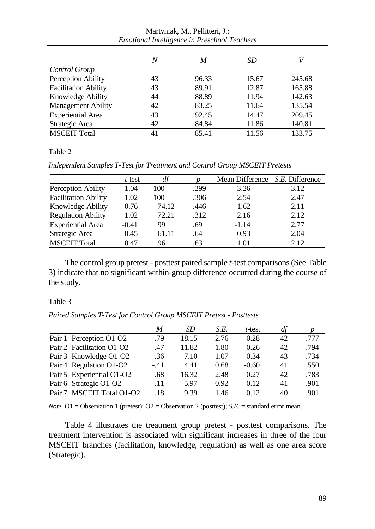|                             | N  | M     | SD    |        |
|-----------------------------|----|-------|-------|--------|
| Control Group               |    |       |       |        |
| Perception Ability          | 43 | 96.33 | 15.67 | 245.68 |
| <b>Facilitation Ability</b> | 43 | 89.91 | 12.87 | 165.88 |
| Knowledge Ability           | 44 | 88.89 | 11.94 | 142.63 |
| <b>Management Ability</b>   | 42 | 83.25 | 11.64 | 135.54 |
| <b>Experiential Area</b>    | 43 | 92.45 | 14.47 | 209.45 |
| Strategic Area              | 42 | 84.84 | 11.86 | 140.81 |
| <b>MSCEIT Total</b>         | 41 | 85.41 | 11.56 | 133.75 |

Martyniak, M., Pellitteri, J.: *Emotional Intelligence in Preschool Teachers*

Table 2

*Independent Samples T-Test for Treatment and Control Group MSCEIT Pretests*

|                             | t-test  |       |      | Mean Difference <i>S.E.</i> Difference |      |
|-----------------------------|---------|-------|------|----------------------------------------|------|
| Perception Ability          | $-1.04$ | 100   | .299 | $-3.26$                                | 3.12 |
| <b>Facilitation Ability</b> | 1.02    | 100   | .306 | 2.54                                   | 2.47 |
| Knowledge Ability           | $-0.76$ | 74.12 | .446 | $-1.62$                                | 2.11 |
| <b>Regulation Ability</b>   | 1.02    | 72.21 | .312 | 2.16                                   | 2.12 |
| <b>Experiential Area</b>    | $-0.41$ | 99    | .69  | $-1.14$                                | 2.77 |
| Strategic Area              | 0.45    | 61.11 | .64  | 0.93                                   | 2.04 |
| <b>MSCEIT Total</b>         | 0.47    | 96    | .63  | 1 01                                   | 2.12 |

The control group pretest - posttest paired sample *t-*test comparisons (See Table 3) indicate that no significant within-group difference occurred during the course of the study.

#### Table 3

*Paired Samples T-Test for Control Group MSCEIT Pretest - Posttests*

|                           | M      | SD    | S.E. | t-test  | df |      |
|---------------------------|--------|-------|------|---------|----|------|
| Pair 1 Perception O1-O2   | .79    | 18.15 | 2.76 | 0.28    | 42 | .777 |
| Pair 2 Facilitation O1-O2 | $-.47$ | 11.82 | 1.80 | $-0.26$ | 42 | .794 |
| Pair 3 Knowledge O1-O2    | .36    | 7.10  | 1.07 | 0.34    | 43 | .734 |
| Pair 4 Regulation O1-O2   | $-.41$ | 4.41  | 0.68 | $-0.60$ | 41 | .550 |
| Pair 5 Experiential O1-O2 | .68    | 16.32 | 2.48 | 0.27    | 42 | .783 |
| Pair 6 Strategic O1-O2    | .11    | 5.97  | 0.92 | 0.12    | 41 | .901 |
| Pair 7 MSCEIT Total O1-O2 | .18    | 9.39  | 1.46 | 0.12    | 40 | .901 |
|                           |        |       |      |         |    |      |

*Note.* O1 = Observation 1 (pretest); O2 = Observation 2 (posttest); *S.E.* = standard error mean.

Table 4 illustrates the treatment group pretest - posttest comparisons. The treatment intervention is associated with significant increases in three of the four MSCEIT branches (facilitation, knowledge, regulation) as well as one area score (Strategic).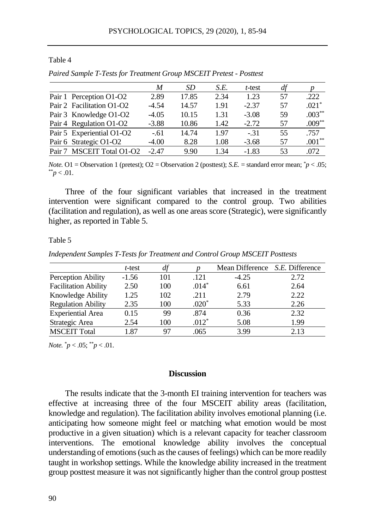#### Table 4

|                           | M       | SD    | S.E. | t-test  | df |           |
|---------------------------|---------|-------|------|---------|----|-----------|
| Pair 1 Perception O1-O2   | 2.89    | 17.85 | 2.34 | 1.23    | 57 | .222      |
| Pair 2 Facilitation O1-O2 | $-4.54$ | 14.57 | 1.91 | $-2.37$ | 57 | $.021*$   |
| Pair 3 Knowledge O1-O2    | $-4.05$ | 10.15 | 1.31 | $-3.08$ | 59 | $.003***$ |
| Pair 4 Regulation O1-O2   | $-3.88$ | 10.86 | 1.42 | $-2.72$ | 57 | $.009**$  |
| Pair 5 Experiential O1-O2 | $-.61$  | 14.74 | 1.97 | $-31$   | 55 | .757      |
| Pair 6 Strategic O1-O2    | $-4.00$ | 8.28  | 1.08 | $-3.68$ | 57 | $.001**$  |
| Pair 7 MSCEIT Total O1-O2 | $-2.47$ | 9.90  | 1.34 | $-1.83$ | 53 | .072      |

*Paired Sample T-Tests for Treatment Group MSCEIT Pretest - Posttest*

*Note.* O1 = Observation 1 (pretest); O2 = Observation 2 (posttest); *S.E.* = standard error mean; \**p* < .05;  $*^*p < .01$ .

Three of the four significant variables that increased in the treatment intervention were significant compared to the control group. Two abilities (facilitation and regulation), as well as one areas score (Strategic), were significantly higher, as reported in Table 5.

#### Table 5

*Independent Samples T-Tests for Treatment and Control Group MSCEIT Posttests*

|                             | t-test  |     |         | Mean Difference <i>S.E.</i> Difference |      |
|-----------------------------|---------|-----|---------|----------------------------------------|------|
| Perception Ability          | $-1.56$ | 101 | .121    | $-4.25$                                | 2.72 |
| <b>Facilitation Ability</b> | 2.50    | 100 | $.014*$ | 6.61                                   | 2.64 |
| Knowledge Ability           | 1.25    | 102 | .211    | 2.79                                   | 2.22 |
| <b>Regulation Ability</b>   | 2.35    | 100 | $.020*$ | 5.33                                   | 2.26 |
| <b>Experiential Area</b>    | 0.15    | 99  | .874    | 0.36                                   | 2.32 |
| Strategic Area              | 2.54    | 100 | $.012*$ | 5.08                                   | 1.99 |
| <b>MSCEIT Total</b>         | 1.87    | 97  | .065    | 3.99                                   | 2.13 |

*Note.*  $^*p < .05$ ;  $^*p < .01$ .

### **Discussion**

The results indicate that the 3-month EI training intervention for teachers was effective at increasing three of the four MSCEIT ability areas (facilitation, knowledge and regulation). The facilitation ability involves emotional planning (i.e. anticipating how someone might feel or matching what emotion would be most productive in a given situation) which is a relevant capacity for teacher classroom interventions. The emotional knowledge ability involves the conceptual understanding of emotions (such as the causes of feelings) which can be more readily taught in workshop settings. While the knowledge ability increased in the treatment group posttest measure it was not significantly higher than the control group posttest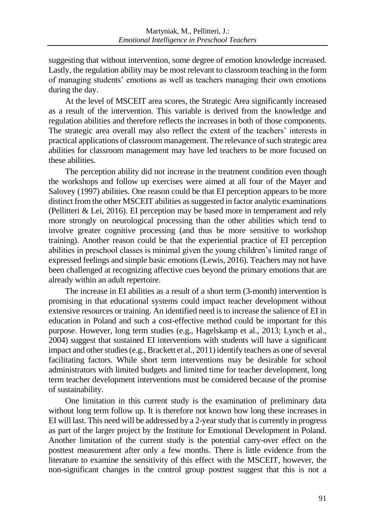suggesting that without intervention, some degree of emotion knowledge increased. Lastly, the regulation ability may be most relevant to classroom teaching in the form of managing students' emotions as well as teachers managing their own emotions during the day.

At the level of MSCEIT area scores, the Strategic Area significantly increased as a result of the intervention. This variable is derived from the knowledge and regulation abilities and therefore reflects the increases in both of those components. The strategic area overall may also reflect the extent of the teachers' interests in practical applications of classroom management. The relevance of such strategic area abilities for classroom management may have led teachers to be more focused on these abilities.

The perception ability did not increase in the treatment condition even though the workshops and follow up exercises were aimed at all four of the Mayer and Salovey (1997) abilities. One reason could be that EI perception appears to be more distinct from the other MSCEIT abilities as suggested in factor analytic examinations (Pellitteri & Lei, 2016). EI perception may be based more in temperament and rely more strongly on neurological processing than the other abilities which tend to involve greater cognitive processing (and thus be more sensitive to workshop training). Another reason could be that the experiential practice of EI perception abilities in preschool classes is minimal given the young children's limited range of expressed feelings and simple basic emotions (Lewis, 2016). Teachers may not have been challenged at recognizing affective cues beyond the primary emotions that are already within an adult repertoire.

The increase in EI abilities as a result of a short term (3-month) intervention is promising in that educational systems could impact teacher development without extensive resources or training. An identified need is to increase the salience of EI in education in Poland and such a cost-effective method could be important for this purpose. However, long term studies (e.g., Hagelskamp et al., 2013; Lynch et al., 2004) suggest that sustained EI interventions with students will have a significant impact and other studies (e.g., Brackett et al., 2011) identify teachers as one of several facilitating factors. While short term interventions may be desirable for school administrators with limited budgets and limited time for teacher development, long term teacher development interventions must be considered because of the promise of sustainability.

One limitation in this current study is the examination of preliminary data without long term follow up. It is therefore not known how long these increases in EI will last. This need will be addressed by a 2-year study that is currently in progress as part of the larger project by the Institute for Emotional Development in Poland. Another limitation of the current study is the potential carry-over effect on the posttest measurement after only a few months. There is little evidence from the literature to examine the sensitivity of this effect with the MSCEIT, however, the non-significant changes in the control group posttest suggest that this is not a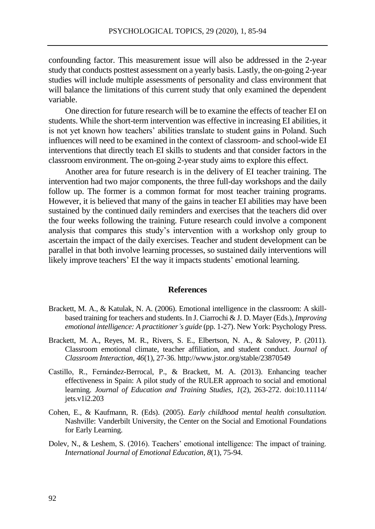confounding factor. This measurement issue will also be addressed in the 2-year study that conducts posttest assessment on a yearly basis. Lastly, the on-going 2-year studies will include multiple assessments of personality and class environment that will balance the limitations of this current study that only examined the dependent variable.

One direction for future research will be to examine the effects of teacher EI on students. While the short-term intervention was effective in increasing EI abilities, it is not yet known how teachers' abilities translate to student gains in Poland. Such influences will need to be examined in the context of classroom- and school-wide EI interventions that directly teach EI skills to students and that consider factors in the classroom environment. The on-going 2-year study aims to explore this effect.

Another area for future research is in the delivery of EI teacher training. The intervention had two major components, the three full-day workshops and the daily follow up. The former is a common format for most teacher training programs. However, it is believed that many of the gains in teacher EI abilities may have been sustained by the continued daily reminders and exercises that the teachers did over the four weeks following the training. Future research could involve a component analysis that compares this study's intervention with a workshop only group to ascertain the impact of the daily exercises. Teacher and student development can be parallel in that both involve learning processes, so sustained daily interventions will likely improve teachers' EI the way it impacts students' emotional learning.

#### **References**

- Brackett, M. A., & Katulak, N. A. (2006). Emotional intelligence in the classroom: A skillbased training for teachers and students. In J. Ciarrochi & J. D. Mayer (Eds.), *Improving emotional intelligence: A practitioner's guide* (pp. 1-27). New York: Psychology Press.
- Brackett, M. A., Reyes, M. R., Rivers, S. E., Elbertson, N. A., & Salovey, P. (2011). Classroom emotional climate, teacher affiliation, and student conduct. *Journal of Classroom Interaction, 46*(1), 27-36. http://www.jstor.org/stable/23870549
- Castillo, R., Fernández-Berrocal, P., & Brackett, M. A. (2013). Enhancing teacher effectiveness in Spain: A pilot study of the RULER approach to social and emotional learning. *Journal of Education and Training Studies, 1*(2), 263-272. doi:10.11114/ jets.v1i2.203
- Cohen, E., & Kaufmann, R. (Eds). (2005). *Early childhood mental health consultation.* Nashville: Vanderbilt University, the Center on the Social and Emotional Foundations for Early Learning.
- Dolev, N., & Leshem, S. (2016). Teachers' emotional intelligence: The impact of training. *International Journal of Emotional Education, 8*(1), 75-94.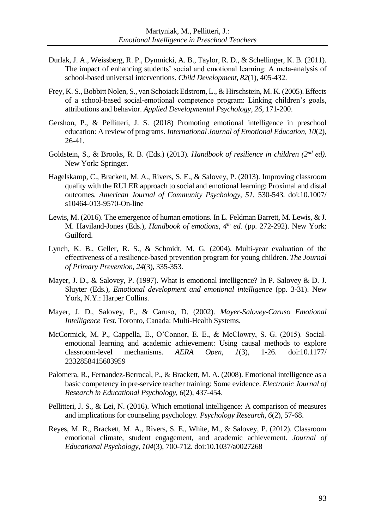- Durlak, J. A., Weissberg, R. P., Dymnicki, A. B., Taylor, R. D., & Schellinger, K. B. (2011). The impact of enhancing students' social and emotional learning: A meta-analysis of school-based universal interventions. *Child Development, 82*(1), 405-432.
- Frey, K. S., Bobbitt Nolen, S., van Schoiack Edstrom, L., & Hirschstein, M. K. (2005). Effects of a school-based social-emotional competence program: Linking children's goals, attributions and behavior. *Applied Developmental Psychology, 26*, 171-200.
- Gershon, P., & Pellitteri, J. S. (2018) Promoting emotional intelligence in preschool education: A review of programs. *International Journal of Emotional Education, 10*(2), 26-41.
- Goldstein, S., & Brooks, R. B. (Eds.) (2013). *Handbook of resilience in children* (2<sup>nd</sup> ed). New York: Springer.
- Hagelskamp, C., Brackett, M. A., Rivers, S. E., & Salovey, P. (2013). Improving classroom quality with the RULER approach to social and emotional learning: Proximal and distal outcomes. *American Journal of Community Psychology, 51,* 530-543*.* doi:10.1007/ s10464-013-9570-On-line
- Lewis, M. (2016). The emergence of human emotions. In L. Feldman Barrett, M. Lewis, & J. M. Haviland-Jones (Eds.), *Handbook of emotions, 4 th ed.* (pp. 272-292). New York: Guilford.
- Lynch, K. B., Geller, R. S., & Schmidt, M. G. (2004). Multi-year evaluation of the effectiveness of a resilience-based prevention program for young children. *The Journal of Primary Prevention, 24*(3), 335-353.
- Mayer, J. D., & Salovey, P. (1997). What is emotional intelligence? In P. Salovey & D. J. Sluyter (Eds.), *Emotional development and emotional intelligence* (pp. 3-31). New York, N.Y.: Harper Collins.
- Mayer, J. D., Salovey, P., & Caruso, D. (2002). *Mayer-Salovey-Caruso Emotional Intelligence Test.* Toronto, Canada: Multi-Health Systems.
- McCormick, M. P., Cappella, E., O'Connor, E. E., & McClowry, S. G. (2015). Socialemotional learning and academic achievement: Using causal methods to explore classroom-level mechanisms. *AERA Open, 1*(3)*,* 1-26. doi:10.1177/ 2332858415603959
- Palomera, R., Fernandez-Berrocal, P., & Brackett, M. A. (2008). Emotional intelligence as a basic competency in pre-service teacher training: Some evidence. *Electronic Journal of Research in Educational Psychology, 6*(2), 437-454.
- Pellitteri, J. S., & Lei, N. (2016). Which emotional intelligence: A comparison of measures and implications for counseling psychology*. Psychology Research, 6*(2), 57-68.
- Reyes, M. R., Brackett, M. A., Rivers, S. E., White, M., & Salovey, P. (2012). Classroom emotional climate, student engagement, and academic achievement. *Journal of Educational Psychology, 104*(3), 700-712. doi:10.1037/a0027268